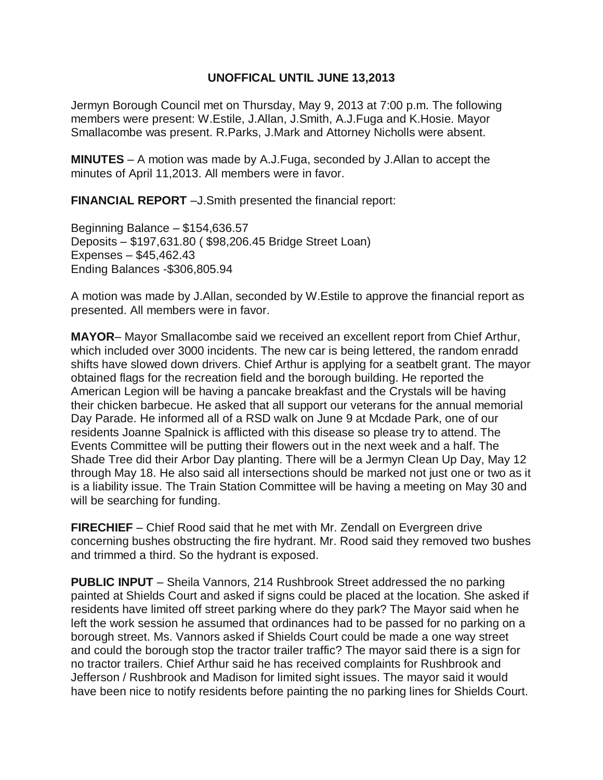## **UNOFFICAL UNTIL JUNE 13,2013**

Jermyn Borough Council met on Thursday, May 9, 2013 at 7:00 p.m. The following members were present: W.Estile, J.Allan, J.Smith, A.J.Fuga and K.Hosie. Mayor Smallacombe was present. R.Parks, J.Mark and Attorney Nicholls were absent.

**MINUTES** – A motion was made by A.J.Fuga, seconded by J.Allan to accept the minutes of April 11,2013. All members were in favor.

**FINANCIAL REPORT** –J.Smith presented the financial report:

Beginning Balance – \$154,636.57 Deposits – \$197,631.80 ( \$98,206.45 Bridge Street Loan) Expenses – \$45,462.43 Ending Balances -\$306,805.94

A motion was made by J.Allan, seconded by W.Estile to approve the financial report as presented. All members were in favor.

**MAYOR**– Mayor Smallacombe said we received an excellent report from Chief Arthur, which included over 3000 incidents. The new car is being lettered, the random enradd shifts have slowed down drivers. Chief Arthur is applying for a seatbelt grant. The mayor obtained flags for the recreation field and the borough building. He reported the American Legion will be having a pancake breakfast and the Crystals will be having their chicken barbecue. He asked that all support our veterans for the annual memorial Day Parade. He informed all of a RSD walk on June 9 at Mcdade Park, one of our residents Joanne Spalnick is afflicted with this disease so please try to attend. The Events Committee will be putting their flowers out in the next week and a half. The Shade Tree did their Arbor Day planting. There will be a Jermyn Clean Up Day, May 12 through May 18. He also said all intersections should be marked not just one or two as it is a liability issue. The Train Station Committee will be having a meeting on May 30 and will be searching for funding.

**FIRECHIEF** – Chief Rood said that he met with Mr. Zendall on Evergreen drive concerning bushes obstructing the fire hydrant. Mr. Rood said they removed two bushes and trimmed a third. So the hydrant is exposed.

**PUBLIC INPUT** – Sheila Vannors, 214 Rushbrook Street addressed the no parking painted at Shields Court and asked if signs could be placed at the location. She asked if residents have limited off street parking where do they park? The Mayor said when he left the work session he assumed that ordinances had to be passed for no parking on a borough street. Ms. Vannors asked if Shields Court could be made a one way street and could the borough stop the tractor trailer traffic? The mayor said there is a sign for no tractor trailers. Chief Arthur said he has received complaints for Rushbrook and Jefferson / Rushbrook and Madison for limited sight issues. The mayor said it would have been nice to notify residents before painting the no parking lines for Shields Court.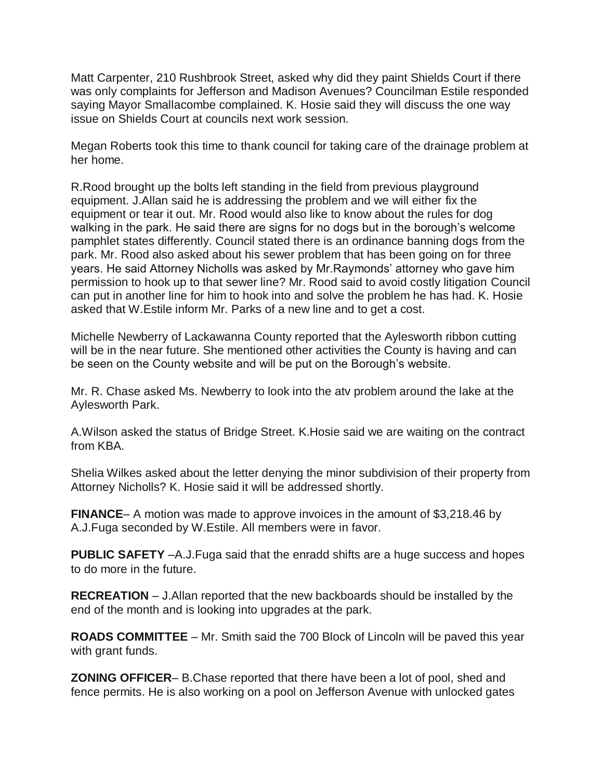Matt Carpenter, 210 Rushbrook Street, asked why did they paint Shields Court if there was only complaints for Jefferson and Madison Avenues? Councilman Estile responded saying Mayor Smallacombe complained. K. Hosie said they will discuss the one way issue on Shields Court at councils next work session.

Megan Roberts took this time to thank council for taking care of the drainage problem at her home.

R.Rood brought up the bolts left standing in the field from previous playground equipment. J.Allan said he is addressing the problem and we will either fix the equipment or tear it out. Mr. Rood would also like to know about the rules for dog walking in the park. He said there are signs for no dogs but in the borough's welcome pamphlet states differently. Council stated there is an ordinance banning dogs from the park. Mr. Rood also asked about his sewer problem that has been going on for three years. He said Attorney Nicholls was asked by Mr.Raymonds' attorney who gave him permission to hook up to that sewer line? Mr. Rood said to avoid costly litigation Council can put in another line for him to hook into and solve the problem he has had. K. Hosie asked that W.Estile inform Mr. Parks of a new line and to get a cost.

Michelle Newberry of Lackawanna County reported that the Aylesworth ribbon cutting will be in the near future. She mentioned other activities the County is having and can be seen on the County website and will be put on the Borough's website.

Mr. R. Chase asked Ms. Newberry to look into the atv problem around the lake at the Aylesworth Park.

A.Wilson asked the status of Bridge Street. K.Hosie said we are waiting on the contract from KBA.

Shelia Wilkes asked about the letter denying the minor subdivision of their property from Attorney Nicholls? K. Hosie said it will be addressed shortly.

**FINANCE**– A motion was made to approve invoices in the amount of \$3,218.46 by A.J.Fuga seconded by W.Estile. All members were in favor.

**PUBLIC SAFETY** –A.J.Fuga said that the enradd shifts are a huge success and hopes to do more in the future.

**RECREATION** – J.Allan reported that the new backboards should be installed by the end of the month and is looking into upgrades at the park.

**ROADS COMMITTEE** – Mr. Smith said the 700 Block of Lincoln will be paved this year with grant funds.

**ZONING OFFICER**– B.Chase reported that there have been a lot of pool, shed and fence permits. He is also working on a pool on Jefferson Avenue with unlocked gates